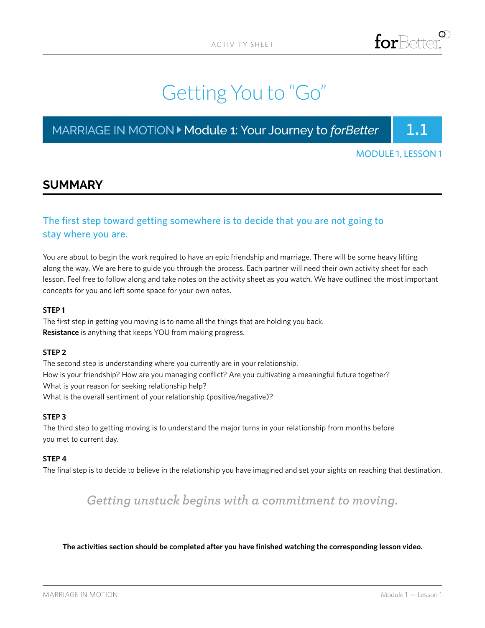# Getting You to "Go"

### MARRIAGE IN MOTION  $\blacktriangleright$  Module 1: Your Journey to *forBetter* | 1.1

MODULE 1, LESSON 1

### **SUMMARY**

### The first step toward getting somewhere is to decide that you are not going to stay where you are.

You are about to begin the work required to have an epic friendship and marriage. There will be some heavy lifting along the way. We are here to guide you through the process. Each partner will need their own activity sheet for each lesson. Feel free to follow along and take notes on the activity sheet as you watch. We have outlined the most important concepts for you and left some space for your own notes.

#### **STEP 1**

The first step in getting you moving is to name all the things that are holding you back. **Resistance** is anything that keeps YOU from making progress.

#### **STEP 2**

The second step is understanding where you currently are in your relationship. How is your friendship? How are you managing conflict? Are you cultivating a meaningful future together? What is your reason for seeking relationship help? What is the overall sentiment of your relationship (positive/negative)?

#### **STEP 3**

The third step to getting moving is to understand the major turns in your relationship from months before you met to current day.

#### **STEP 4**

The final step is to decide to believe in the relationship you have imagined and set your sights on reaching that destination.

### *Getting unstuck begins with a commitment to moving.*

#### **The activities section should be completed after you have finished watching the corresponding lesson video.**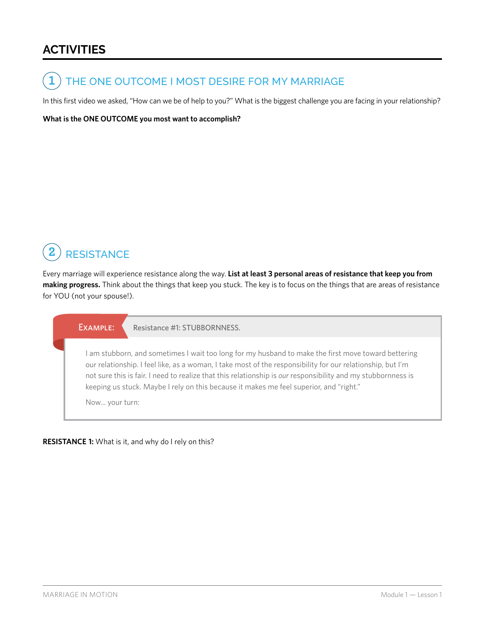### **ACTIVITIES**

THE ONE OUTCOME I MOST DESIRE FOR MY MARRIAGE **1**

In this first video we asked, "How can we be of help to you?" What is the biggest challenge you are facing in your relationship?

**What is the ONE OUTCOME you most want to accomplish?** 

#### **RESISTANCE 2**

Every marriage will experience resistance along the way. **List at least 3 personal areas of resistance that keep you from making progress.** Think about the things that keep you stuck. The key is to focus on the things that are areas of resistance for YOU (not your spouse!).

EXAMPLE: Resistance #1: STUBBORNNESS.

I am stubborn, and sometimes I wait too long for my husband to make the first move toward bettering our relationship. I feel like, as a woman, I take most of the responsibility for our relationship, but I'm not sure this is fair. I need to realize that this relationship is *our* responsibility and my stubbornness is keeping us stuck. Maybe I rely on this because it makes me feel superior, and "right."

Now... your turn:

#### **RESISTANCE 1:** What is it, and why do I rely on this?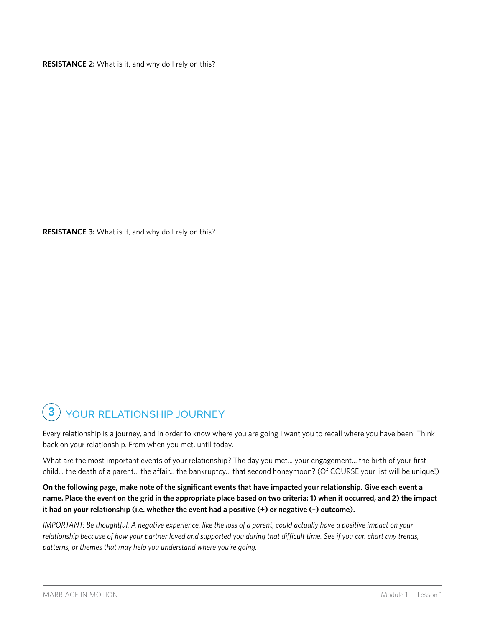**RESISTANCE 2:** What is it, and why do I rely on this?

**RESISTANCE 3:** What is it, and why do I rely on this?

#### YOUR RELATIONSHIP JOURNEY **3**

Every relationship is a journey, and in order to know where you are going I want you to recall where you have been. Think back on your relationship. From when you met, until today.

What are the most important events of your relationship? The day you met... your engagement... the birth of your first child... the death of a parent... the affair... the bankruptcy... that second honeymoon? (Of COURSE your list will be unique!)

### **On the following page, make note of the significant events that have impacted your relationship. Give each event a name. Place the event on the grid in the appropriate place based on two criteria: 1) when it occurred, and 2) the impact it had on your relationship (i.e. whether the event had a positive (+) or negative (–) outcome).**

*IMPORTANT: Be thoughtful. A negative experience, like the loss of a parent, could actually have a positive impact on your relationship because of how your partner loved and supported you during that difficult time. See if you can chart any trends, patterns, or themes that may help you understand where you're going.*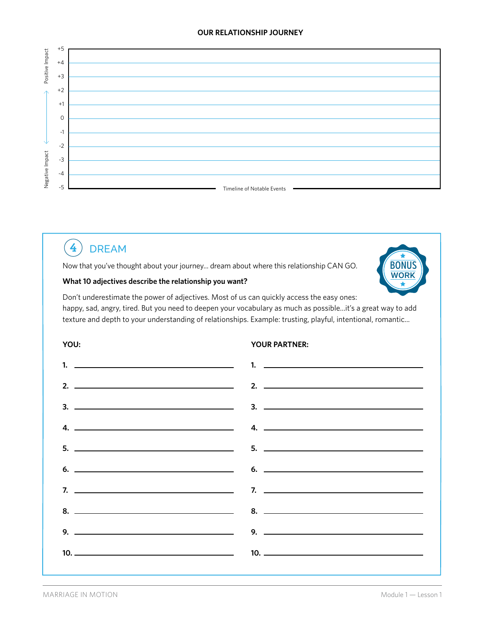#### **OUR RELATIONSHIP JOURNEY**



#### DREAM **4**

Now that you've thought about your journey... dream about where this relationship CAN GO.

#### **What 10 adjectives describe the relationship you want?**



Don't underestimate the power of adjectives. Most of us can quickly access the easy ones: happy, sad, angry, tired. But you need to deepen your vocabulary as much as possible...it's a great way to add texture and depth to your understanding of relationships. Example: trusting, playful, intentional, romantic...

#### **YOU: YOUR PARTNER:**

| 2. $\overline{\phantom{a}}$ 2. $\overline{\phantom{a}}$                                                                                                                                                                                                                                   |
|-------------------------------------------------------------------------------------------------------------------------------------------------------------------------------------------------------------------------------------------------------------------------------------------|
|                                                                                                                                                                                                                                                                                           |
| $4.$ 4. $-$                                                                                                                                                                                                                                                                               |
| $5.$ $5.$                                                                                                                                                                                                                                                                                 |
| $\sim$ 6. $\sim$ 6. $\sim$ 6. $\sim$ 6. $\sim$ 6. $\sim$ 6. $\sim$ 6. $\sim$ 6. $\sim$ 6. $\sim$ 6. $\sim$ 6. $\sim$ 6. $\sim$ 6. $\sim$ 6. $\sim$ 6. $\sim$ 6. $\sim$ 6. $\sim$ 6. $\sim$ 6. $\sim$ 6. $\sim$ 6. $\sim$ 6. $\sim$ 6. $\sim$ 6. $\sim$ 6. $\sim$ 6. $\sim$ 6. $\sim$      |
| $\frac{1}{2}$ . The contract of $\frac{1}{2}$ and $\frac{1}{2}$ and $\frac{1}{2}$ and $\frac{1}{2}$ and $\frac{1}{2}$ and $\frac{1}{2}$ and $\frac{1}{2}$ and $\frac{1}{2}$ and $\frac{1}{2}$ and $\frac{1}{2}$ and $\frac{1}{2}$ and $\frac{1}{2}$ and $\frac{1}{2}$ and $\frac{1}{2}$ a |
|                                                                                                                                                                                                                                                                                           |
|                                                                                                                                                                                                                                                                                           |
|                                                                                                                                                                                                                                                                                           |
|                                                                                                                                                                                                                                                                                           |